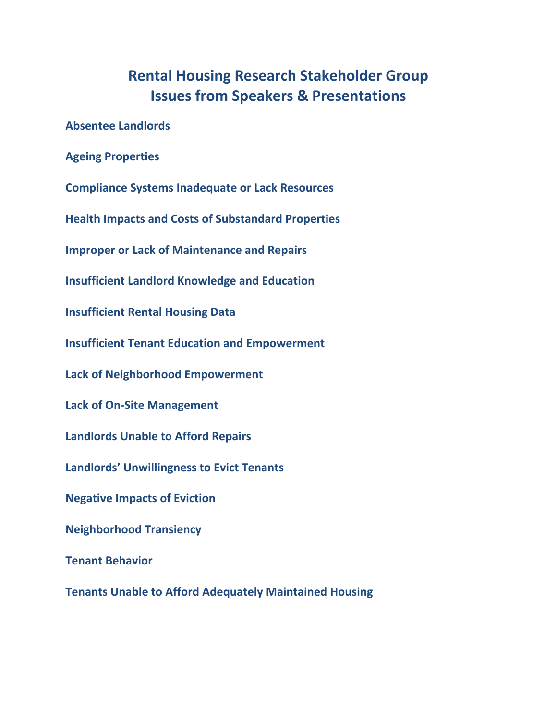### **Rental Housing Research Stakeholder Group Issues from Speakers & Presentations**

**Absentee Landlords**

**Ageing Properties**

**Compliance Systems Inadequate or Lack Resources**

**Health Impacts and Costs of Substandard Properties**

**Improper or Lack of Maintenance and Repairs**

**Insufficient Landlord Knowledge and Education**

**Insufficient Rental Housing Data**

**Insufficient Tenant Education and Empowerment**

**Lack of Neighborhood Empowerment**

**Lack of On‐Site Management**

**Landlords Unable to Afford Repairs**

**Landlords' Unwillingness to Evict Tenants**

**Negative Impacts of Eviction**

**Neighborhood Transiency**

**Tenant Behavior**

**Tenants Unable to Afford Adequately Maintained Housing**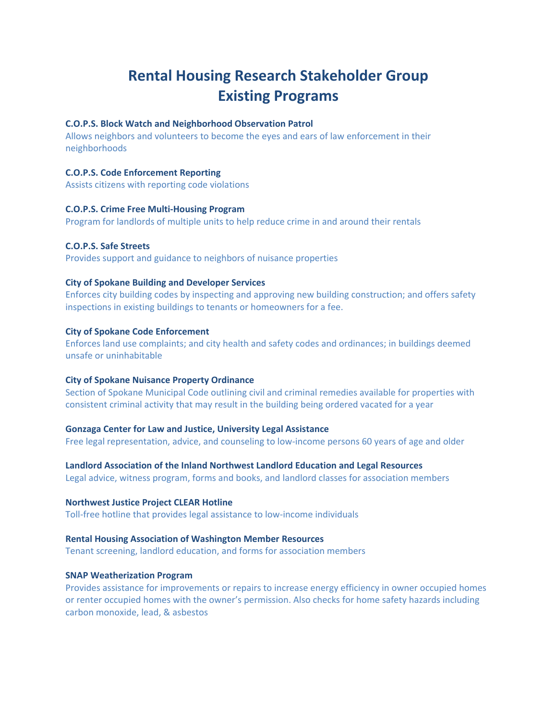### **Rental Housing Research Stakeholder Group Existing Programs**

#### **C.O.P.S. Block Watch and Neighborhood Observation Patrol**

Allows neighbors and volunteers to become the eyes and ears of law enforcement in their neighborhoods

#### **C.O.P.S. Code Enforcement Reporting**

Assists citizens with reporting code violations

#### **C.O.P.S. Crime Free Multi‐Housing Program**

Program for landlords of multiple units to help reduce crime in and around their rentals

#### **C.O.P.S. Safe Streets**

Provides support and guidance to neighbors of nuisance properties

#### **City of Spokane Building and Developer Services**

Enforces city building codes by inspecting and approving new building construction; and offers safety inspections in existing buildings to tenants or homeowners for a fee.

#### **City of Spokane Code Enforcement**

Enforces land use complaints; and city health and safety codes and ordinances; in buildings deemed unsafe or uninhabitable

#### **City of Spokane Nuisance Property Ordinance**

Section of Spokane Municipal Code outlining civil and criminal remedies available for properties with consistent criminal activity that may result in the building being ordered vacated for a year

#### **Gonzaga Center for Law and Justice, University Legal Assistance**

Free legal representation, advice, and counseling to low-income persons 60 years of age and older

**Landlord Association of the Inland Northwest Landlord Education and Legal Resources**

Legal advice, witness program, forms and books, and landlord classes for association members

#### **Northwest Justice Project CLEAR Hotline**

Toll‐free hotline that provides legal assistance to low‐income individuals

#### **Rental Housing Association of Washington Member Resources**

Tenant screening, landlord education, and forms for association members

#### **SNAP Weatherization Program**

Provides assistance for improvements or repairs to increase energy efficiency in owner occupied homes or renter occupied homes with the owner's permission. Also checks for home safety hazards including carbon monoxide, lead, & asbestos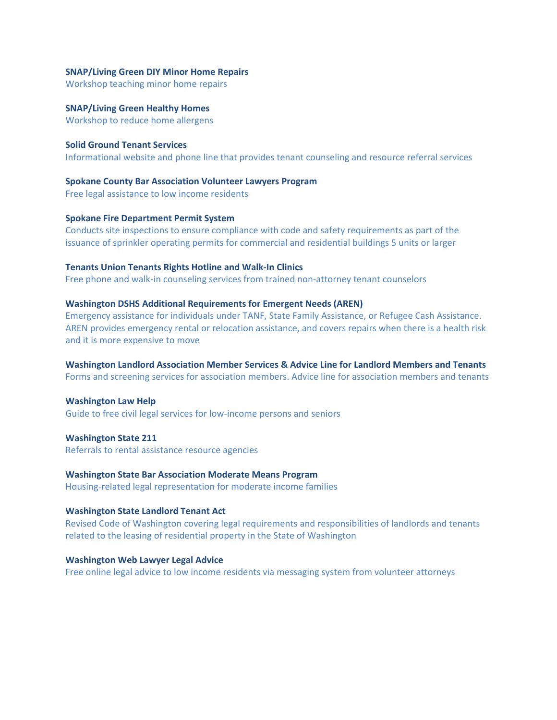#### **SNAP/Living Green DIY Minor Home Repairs**

Workshop teaching minor home repairs

**SNAP/Living Green Healthy Homes** Workshop to reduce home allergens

**Solid Ground Tenant Services** Informational website and phone line that provides tenant counseling and resource referral services

**Spokane County Bar Association Volunteer Lawyers Program** Free legal assistance to low income residents

#### **Spokane Fire Department Permit System**

Conducts site inspections to ensure compliance with code and safety requirements as part of the issuance of sprinkler operating permits for commercial and residential buildings 5 units or larger

#### **Tenants Union Tenants Rights Hotline and Walk‐In Clinics**

Free phone and walk-in counseling services from trained non-attorney tenant counselors

#### **Washington DSHS Additional Requirements for Emergent Needs (AREN)**

Emergency assistance for individuals under TANF, State Family Assistance, or Refugee Cash Assistance. AREN provides emergency rental or relocation assistance, and covers repairs when there is a health risk and it is more expensive to move

#### **Washington Landlord Association Member Services & Advice Line for Landlord Members and Tenants**

Forms and screening services for association members. Advice line for association members and tenants

#### **Washington Law Help**

Guide to free civil legal services for low‐income persons and seniors

**Washington State 211** Referrals to rental assistance resource agencies

#### **Washington State Bar Association Moderate Means Program**

Housing‐related legal representation for moderate income families

#### **Washington State Landlord Tenant Act**

Revised Code of Washington covering legal requirements and responsibilities of landlords and tenants related to the leasing of residential property in the State of Washington

#### **Washington Web Lawyer Legal Advice**

Free online legal advice to low income residents via messaging system from volunteer attorneys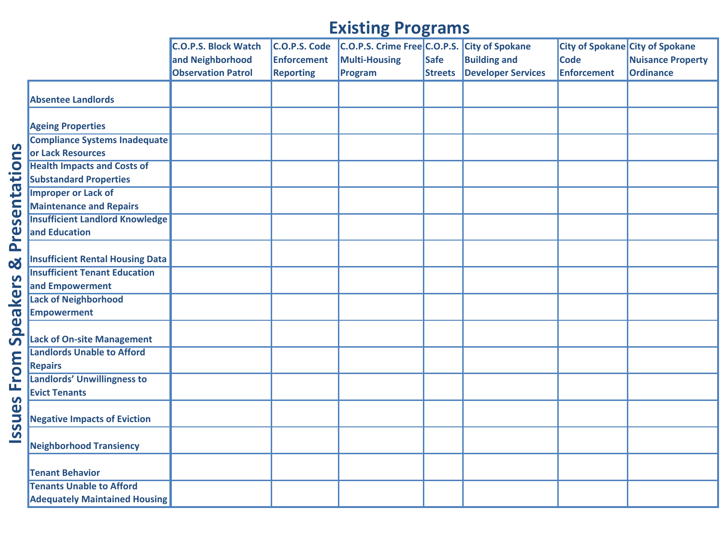|                                         | <b>C.O.P.S. Block Watch</b> | C.O.P.S. Code      | C.O.P.S. Crime Free C.O.P.S. |                | <b>City of Spokane</b>    |                    | City of Spokane City of Spokane |
|-----------------------------------------|-----------------------------|--------------------|------------------------------|----------------|---------------------------|--------------------|---------------------------------|
|                                         | and Neighborhood            | <b>Enforcement</b> | <b>Multi-Housing</b>         | <b>Safe</b>    | <b>Building and</b>       | <b>Code</b>        | <b>Nuisance Property</b>        |
|                                         | <b>Observation Patrol</b>   | <b>Reporting</b>   | Program                      | <b>Streets</b> | <b>Developer Services</b> | <b>Enforcement</b> | <b>Ordinance</b>                |
|                                         |                             |                    |                              |                |                           |                    |                                 |
| <b>Absentee Landlords</b>               |                             |                    |                              |                |                           |                    |                                 |
|                                         |                             |                    |                              |                |                           |                    |                                 |
| <b>Ageing Properties</b>                |                             |                    |                              |                |                           |                    |                                 |
| <b>Compliance Systems Inadequate</b>    |                             |                    |                              |                |                           |                    |                                 |
| or Lack Resources                       |                             |                    |                              |                |                           |                    |                                 |
| <b>Health Impacts and Costs of</b>      |                             |                    |                              |                |                           |                    |                                 |
| <b>Substandard Properties</b>           |                             |                    |                              |                |                           |                    |                                 |
| <b>Improper or Lack of</b>              |                             |                    |                              |                |                           |                    |                                 |
| <b>Maintenance and Repairs</b>          |                             |                    |                              |                |                           |                    |                                 |
| <b>Insufficient Landlord Knowledge</b>  |                             |                    |                              |                |                           |                    |                                 |
| and Education                           |                             |                    |                              |                |                           |                    |                                 |
|                                         |                             |                    |                              |                |                           |                    |                                 |
| <b>Insufficient Rental Housing Data</b> |                             |                    |                              |                |                           |                    |                                 |
| <b>Insufficient Tenant Education</b>    |                             |                    |                              |                |                           |                    |                                 |
| and Empowerment                         |                             |                    |                              |                |                           |                    |                                 |
| <b>Lack of Neighborhood</b>             |                             |                    |                              |                |                           |                    |                                 |
| <b>Empowerment</b>                      |                             |                    |                              |                |                           |                    |                                 |
|                                         |                             |                    |                              |                |                           |                    |                                 |
| <b>Lack of On-site Management</b>       |                             |                    |                              |                |                           |                    |                                 |
| <b>Landlords Unable to Afford</b>       |                             |                    |                              |                |                           |                    |                                 |
| <b>Repairs</b>                          |                             |                    |                              |                |                           |                    |                                 |
| <b>Landlords' Unwillingness to</b>      |                             |                    |                              |                |                           |                    |                                 |
| <b>Evict Tenants</b>                    |                             |                    |                              |                |                           |                    |                                 |
|                                         |                             |                    |                              |                |                           |                    |                                 |
| <b>Negative Impacts of Eviction</b>     |                             |                    |                              |                |                           |                    |                                 |
|                                         |                             |                    |                              |                |                           |                    |                                 |
| <b>Neighborhood Transiency</b>          |                             |                    |                              |                |                           |                    |                                 |
|                                         |                             |                    |                              |                |                           |                    |                                 |
| <b>Tenant Behavior</b>                  |                             |                    |                              |                |                           |                    |                                 |
| <b>Tenants Unable to Afford</b>         |                             |                    |                              |                |                           |                    |                                 |
| <b>Adequately Maintained Housing</b>    |                             |                    |                              |                |                           |                    |                                 |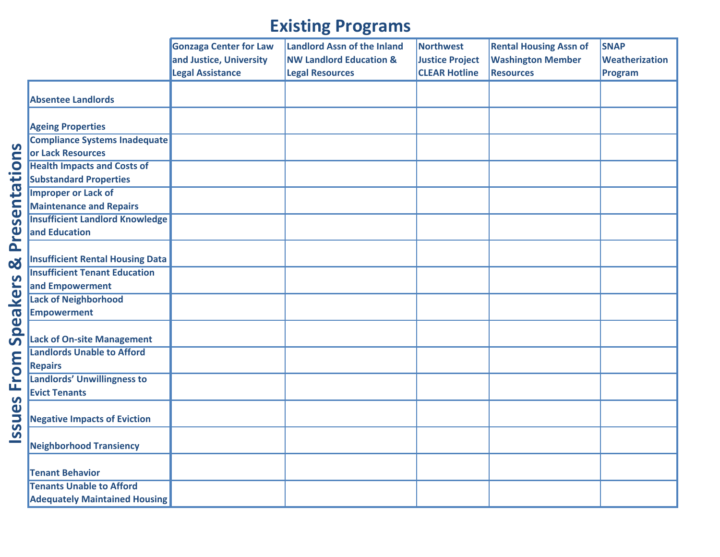|                                         | <b>Gonzaga Center for Law</b> | <b>Landlord Assn of the Inland</b> | Northwest              | <b>Rental Housing Assn of</b> | <b>SNAP</b>    |
|-----------------------------------------|-------------------------------|------------------------------------|------------------------|-------------------------------|----------------|
|                                         | and Justice, University       | <b>NW Landlord Education &amp;</b> | <b>Justice Project</b> | <b>Washington Member</b>      | Weatherization |
|                                         | <b>Legal Assistance</b>       | <b>Legal Resources</b>             | <b>CLEAR Hotline</b>   | <b>Resources</b>              | Program        |
|                                         |                               |                                    |                        |                               |                |
| <b>Absentee Landlords</b>               |                               |                                    |                        |                               |                |
| <b>Ageing Properties</b>                |                               |                                    |                        |                               |                |
| <b>Compliance Systems Inadequate</b>    |                               |                                    |                        |                               |                |
| or Lack Resources                       |                               |                                    |                        |                               |                |
| <b>Health Impacts and Costs of</b>      |                               |                                    |                        |                               |                |
| <b>Substandard Properties</b>           |                               |                                    |                        |                               |                |
| <b>Improper or Lack of</b>              |                               |                                    |                        |                               |                |
| <b>Maintenance and Repairs</b>          |                               |                                    |                        |                               |                |
| <b>Insufficient Landlord Knowledge</b>  |                               |                                    |                        |                               |                |
| and Education                           |                               |                                    |                        |                               |                |
|                                         |                               |                                    |                        |                               |                |
| <b>Insufficient Rental Housing Data</b> |                               |                                    |                        |                               |                |
| <b>Insufficient Tenant Education</b>    |                               |                                    |                        |                               |                |
| and Empowerment                         |                               |                                    |                        |                               |                |
| <b>Lack of Neighborhood</b>             |                               |                                    |                        |                               |                |
| <b>Empowerment</b>                      |                               |                                    |                        |                               |                |
|                                         |                               |                                    |                        |                               |                |
| <b>Lack of On-site Management</b>       |                               |                                    |                        |                               |                |
| <b>Landlords Unable to Afford</b>       |                               |                                    |                        |                               |                |
| <b>Repairs</b>                          |                               |                                    |                        |                               |                |
| <b>Landlords' Unwillingness to</b>      |                               |                                    |                        |                               |                |
| <b>Evict Tenants</b>                    |                               |                                    |                        |                               |                |
|                                         |                               |                                    |                        |                               |                |
| <b>Negative Impacts of Eviction</b>     |                               |                                    |                        |                               |                |
|                                         |                               |                                    |                        |                               |                |
| <b>Neighborhood Transiency</b>          |                               |                                    |                        |                               |                |
|                                         |                               |                                    |                        |                               |                |
| <b>Tenant Behavior</b>                  |                               |                                    |                        |                               |                |
| <b>Tenants Unable to Afford</b>         |                               |                                    |                        |                               |                |
| <b>Adequately Maintained Housing</b>    |                               |                                    |                        |                               |                |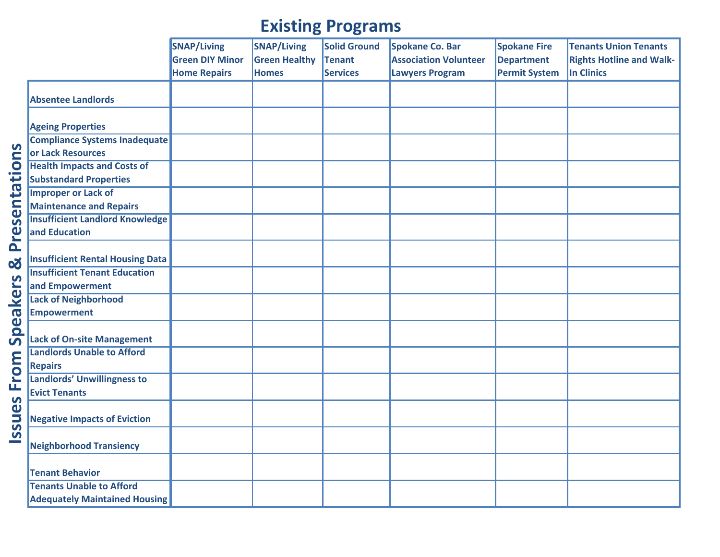|                                         | <b>SNAP/Living</b>     | <b>SNAP/Living</b>   | <b>Solid Ground</b> | Spokane Co. Bar              | <b>Spokane Fire</b>  | <b>Tenants Union Tenants</b>    |
|-----------------------------------------|------------------------|----------------------|---------------------|------------------------------|----------------------|---------------------------------|
|                                         | <b>Green DIY Minor</b> | <b>Green Healthy</b> | <b>Tenant</b>       | <b>Association Volunteer</b> | <b>Department</b>    | <b>Rights Hotline and Walk-</b> |
|                                         | <b>Home Repairs</b>    | <b>Homes</b>         | Services            | <b>Lawyers Program</b>       | <b>Permit System</b> | In Clinics                      |
|                                         |                        |                      |                     |                              |                      |                                 |
| <b>Absentee Landlords</b>               |                        |                      |                     |                              |                      |                                 |
| <b>Ageing Properties</b>                |                        |                      |                     |                              |                      |                                 |
| <b>Compliance Systems Inadequate</b>    |                        |                      |                     |                              |                      |                                 |
| or Lack Resources                       |                        |                      |                     |                              |                      |                                 |
| <b>Health Impacts and Costs of</b>      |                        |                      |                     |                              |                      |                                 |
| <b>Substandard Properties</b>           |                        |                      |                     |                              |                      |                                 |
| <b>Improper or Lack of</b>              |                        |                      |                     |                              |                      |                                 |
| <b>Maintenance and Repairs</b>          |                        |                      |                     |                              |                      |                                 |
| <b>Insufficient Landlord Knowledge</b>  |                        |                      |                     |                              |                      |                                 |
| and Education                           |                        |                      |                     |                              |                      |                                 |
|                                         |                        |                      |                     |                              |                      |                                 |
| <b>Insufficient Rental Housing Data</b> |                        |                      |                     |                              |                      |                                 |
| <b>Insufficient Tenant Education</b>    |                        |                      |                     |                              |                      |                                 |
| and Empowerment                         |                        |                      |                     |                              |                      |                                 |
| <b>Lack of Neighborhood</b>             |                        |                      |                     |                              |                      |                                 |
| <b>Empowerment</b>                      |                        |                      |                     |                              |                      |                                 |
| <b>Lack of On-site Management</b>       |                        |                      |                     |                              |                      |                                 |
| <b>Landlords Unable to Afford</b>       |                        |                      |                     |                              |                      |                                 |
| <b>Repairs</b>                          |                        |                      |                     |                              |                      |                                 |
| <b>Landlords' Unwillingness to</b>      |                        |                      |                     |                              |                      |                                 |
| <b>Evict Tenants</b>                    |                        |                      |                     |                              |                      |                                 |
|                                         |                        |                      |                     |                              |                      |                                 |
| <b>Negative Impacts of Eviction</b>     |                        |                      |                     |                              |                      |                                 |
| <b>Neighborhood Transiency</b>          |                        |                      |                     |                              |                      |                                 |
| <b>Tenant Behavior</b>                  |                        |                      |                     |                              |                      |                                 |
| <b>Tenants Unable to Afford</b>         |                        |                      |                     |                              |                      |                                 |
| <b>Adequately Maintained Housing</b>    |                        |                      |                     |                              |                      |                                 |
|                                         |                        |                      |                     |                              |                      |                                 |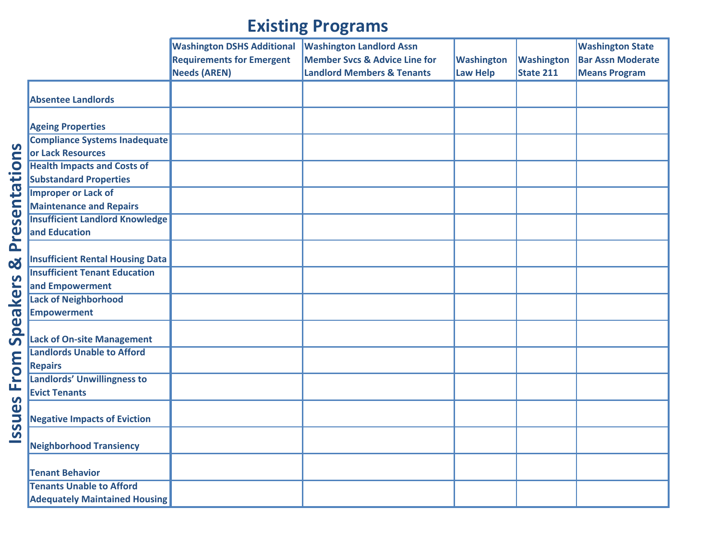|                                         | <b>Washington DSHS Additional</b> | <b>Washington Landlord Assn</b>          |                   |                   | <b>Washington State</b>  |
|-----------------------------------------|-----------------------------------|------------------------------------------|-------------------|-------------------|--------------------------|
|                                         | <b>Requirements for Emergent</b>  | <b>Member Svcs &amp; Advice Line for</b> | <b>Washington</b> | <b>Washington</b> | <b>Bar Assn Moderate</b> |
|                                         | <b>Needs (AREN)</b>               | <b>Landlord Members &amp; Tenants</b>    | <b>Law Help</b>   | State 211         | <b>Means Program</b>     |
|                                         |                                   |                                          |                   |                   |                          |
| <b>Absentee Landlords</b>               |                                   |                                          |                   |                   |                          |
| <b>Ageing Properties</b>                |                                   |                                          |                   |                   |                          |
| <b>Compliance Systems Inadequate</b>    |                                   |                                          |                   |                   |                          |
| or Lack Resources                       |                                   |                                          |                   |                   |                          |
| <b>Health Impacts and Costs of</b>      |                                   |                                          |                   |                   |                          |
| <b>Substandard Properties</b>           |                                   |                                          |                   |                   |                          |
| <b>Improper or Lack of</b>              |                                   |                                          |                   |                   |                          |
| <b>Maintenance and Repairs</b>          |                                   |                                          |                   |                   |                          |
| <b>Insufficient Landlord Knowledge</b>  |                                   |                                          |                   |                   |                          |
| and Education                           |                                   |                                          |                   |                   |                          |
|                                         |                                   |                                          |                   |                   |                          |
| <b>Insufficient Rental Housing Data</b> |                                   |                                          |                   |                   |                          |
| <b>Insufficient Tenant Education</b>    |                                   |                                          |                   |                   |                          |
| and Empowerment                         |                                   |                                          |                   |                   |                          |
| <b>Lack of Neighborhood</b>             |                                   |                                          |                   |                   |                          |
| <b>Empowerment</b>                      |                                   |                                          |                   |                   |                          |
|                                         |                                   |                                          |                   |                   |                          |
| <b>Lack of On-site Management</b>       |                                   |                                          |                   |                   |                          |
| <b>Landlords Unable to Afford</b>       |                                   |                                          |                   |                   |                          |
| <b>Repairs</b>                          |                                   |                                          |                   |                   |                          |
| Landlords' Unwillingness to             |                                   |                                          |                   |                   |                          |
| <b>Evict Tenants</b>                    |                                   |                                          |                   |                   |                          |
|                                         |                                   |                                          |                   |                   |                          |
| <b>Negative Impacts of Eviction</b>     |                                   |                                          |                   |                   |                          |
| <b>Neighborhood Transiency</b>          |                                   |                                          |                   |                   |                          |
|                                         |                                   |                                          |                   |                   |                          |
| <b>Tenant Behavior</b>                  |                                   |                                          |                   |                   |                          |
| <b>Tenants Unable to Afford</b>         |                                   |                                          |                   |                   |                          |
| <b>Adequately Maintained Housing</b>    |                                   |                                          |                   |                   |                          |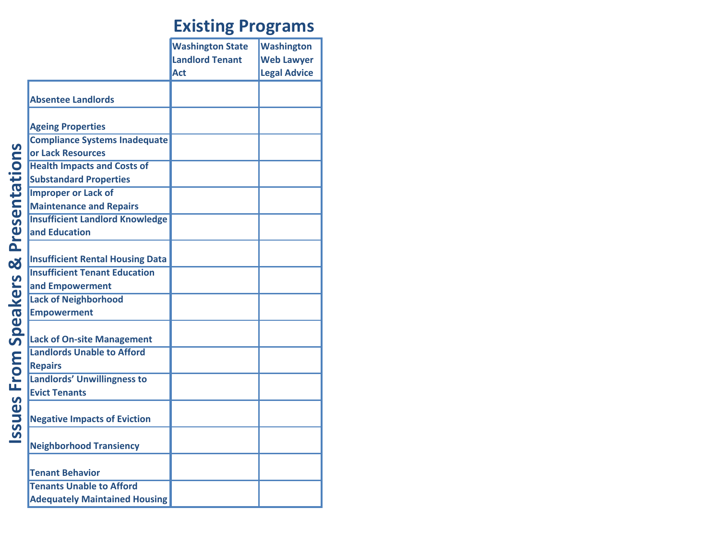|                                         | <b>Washington State</b> | <b>Washington</b>   |
|-----------------------------------------|-------------------------|---------------------|
|                                         | <b>Landlord Tenant</b>  | <b>Web Lawyer</b>   |
|                                         | Act                     | <b>Legal Advice</b> |
|                                         |                         |                     |
| <b>Absentee Landlords</b>               |                         |                     |
| <b>Ageing Properties</b>                |                         |                     |
| <b>Compliance Systems Inadequate</b>    |                         |                     |
| or Lack Resources                       |                         |                     |
| <b>Health Impacts and Costs of</b>      |                         |                     |
| <b>Substandard Properties</b>           |                         |                     |
| <b>Improper or Lack of</b>              |                         |                     |
| <b>Maintenance and Repairs</b>          |                         |                     |
| <b>Insufficient Landlord Knowledge</b>  |                         |                     |
| and Education                           |                         |                     |
|                                         |                         |                     |
| <b>Insufficient Rental Housing Data</b> |                         |                     |
| <b>Insufficient Tenant Education</b>    |                         |                     |
|                                         |                         |                     |
| and Empowerment                         |                         |                     |
| <b>Lack of Neighborhood</b>             |                         |                     |
| <b>Empowerment</b>                      |                         |                     |
| <b>Lack of On-site Management</b>       |                         |                     |
| <b>Landlords Unable to Afford</b>       |                         |                     |
| <b>Repairs</b>                          |                         |                     |
| <b>Landlords' Unwillingness to</b>      |                         |                     |
| <b>Evict Tenants</b>                    |                         |                     |
|                                         |                         |                     |
| <b>Negative Impacts of Eviction</b>     |                         |                     |
|                                         |                         |                     |
| <b>Neighborhood Transiency</b>          |                         |                     |
| <b>Tenant Behavior</b>                  |                         |                     |
| <b>Tenants Unable to Afford</b>         |                         |                     |
|                                         |                         |                     |
| <b>Adequately Maintained Housing</b>    |                         |                     |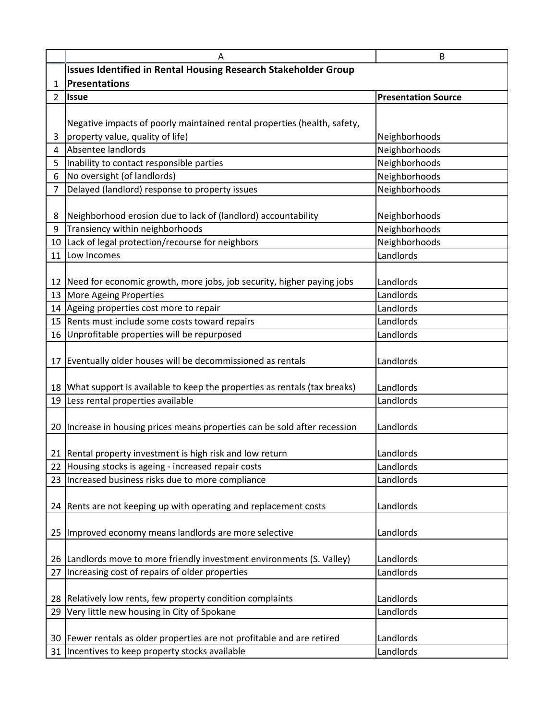|                | A                                                                           | B                          |  |  |  |  |
|----------------|-----------------------------------------------------------------------------|----------------------------|--|--|--|--|
|                | <b>Issues Identified in Rental Housing Research Stakeholder Group</b>       |                            |  |  |  |  |
| 1              | <b>Presentations</b>                                                        |                            |  |  |  |  |
| $\overline{2}$ | <b>Issue</b>                                                                | <b>Presentation Source</b> |  |  |  |  |
|                |                                                                             |                            |  |  |  |  |
|                | Negative impacts of poorly maintained rental properties (health, safety,    |                            |  |  |  |  |
| 3              | property value, quality of life)                                            | Neighborhoods              |  |  |  |  |
| 4              | Absentee landlords                                                          | Neighborhoods              |  |  |  |  |
| 5              | Inability to contact responsible parties                                    | Neighborhoods              |  |  |  |  |
| 6              | No oversight (of landlords)                                                 | Neighborhoods              |  |  |  |  |
| $\overline{7}$ | Delayed (landlord) response to property issues                              | Neighborhoods              |  |  |  |  |
|                |                                                                             |                            |  |  |  |  |
| 8              | Neighborhood erosion due to lack of (landlord) accountability               | Neighborhoods              |  |  |  |  |
| 9              | Transiency within neighborhoods                                             | Neighborhoods              |  |  |  |  |
|                | 10 Lack of legal protection/recourse for neighbors                          | Neighborhoods              |  |  |  |  |
| 11             | Low Incomes                                                                 | Landlords                  |  |  |  |  |
|                |                                                                             |                            |  |  |  |  |
|                | 12 Need for economic growth, more jobs, job security, higher paying jobs    | Landlords                  |  |  |  |  |
|                | 13 More Ageing Properties                                                   | Landlords                  |  |  |  |  |
|                | 14 Ageing properties cost more to repair                                    | Landlords                  |  |  |  |  |
|                | 15 Rents must include some costs toward repairs                             | Landlords                  |  |  |  |  |
|                | 16 Unprofitable properties will be repurposed                               | Landlords                  |  |  |  |  |
|                |                                                                             |                            |  |  |  |  |
|                | 17 Eventually older houses will be decommissioned as rentals                | Landlords                  |  |  |  |  |
|                |                                                                             |                            |  |  |  |  |
|                | 18 What support is available to keep the properties as rentals (tax breaks) | Landlords                  |  |  |  |  |
|                | 19 Less rental properties available                                         | Landlords                  |  |  |  |  |
|                |                                                                             |                            |  |  |  |  |
|                | 20 Increase in housing prices means properties can be sold after recession  | Landlords                  |  |  |  |  |
|                |                                                                             |                            |  |  |  |  |
|                | 21 Rental property investment is high risk and low return                   | Landlords                  |  |  |  |  |
|                | 22 Housing stocks is ageing - increased repair costs                        | Landlords                  |  |  |  |  |
|                | 23   Increased business risks due to more compliance                        | Landlords                  |  |  |  |  |
|                |                                                                             |                            |  |  |  |  |
|                | 24 Rents are not keeping up with operating and replacement costs            | Landlords                  |  |  |  |  |
|                |                                                                             |                            |  |  |  |  |
|                | 25 Improved economy means landlords are more selective                      | Landlords                  |  |  |  |  |
|                |                                                                             |                            |  |  |  |  |
|                | 26   Landlords move to more friendly investment environments (S. Valley)    | Landlords                  |  |  |  |  |
|                | 27 Increasing cost of repairs of older properties                           | Landlords                  |  |  |  |  |
|                |                                                                             |                            |  |  |  |  |
|                | 28 Relatively low rents, few property condition complaints                  | Landlords                  |  |  |  |  |
|                | 29   Very little new housing in City of Spokane                             | Landlords                  |  |  |  |  |
|                |                                                                             |                            |  |  |  |  |
|                | 30 Fewer rentals as older properties are not profitable and are retired     | Landlords                  |  |  |  |  |
|                | 31 Incentives to keep property stocks available                             | Landlords                  |  |  |  |  |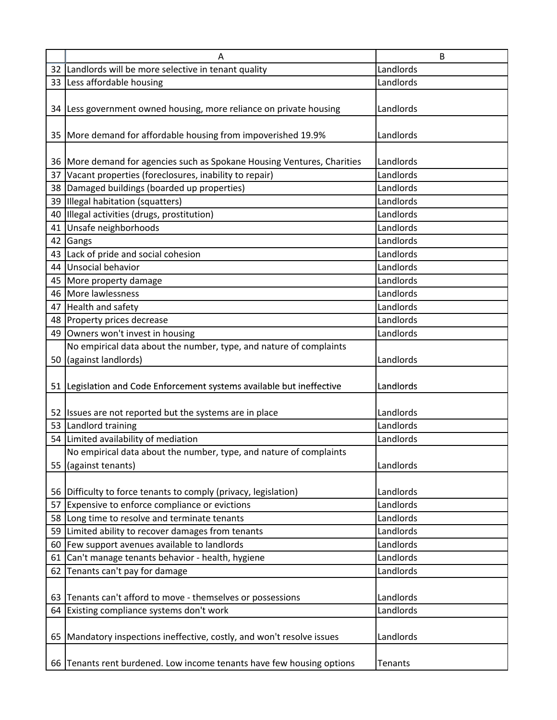| A                                                                        | B              |
|--------------------------------------------------------------------------|----------------|
| 32 Landlords will be more selective in tenant quality                    | Landlords      |
| 33 Less affordable housing                                               | Landlords      |
|                                                                          |                |
| 34 Less government owned housing, more reliance on private housing       | Landlords      |
|                                                                          |                |
| 35   More demand for affordable housing from impoverished 19.9%          | Landlords      |
|                                                                          |                |
| 36 More demand for agencies such as Spokane Housing Ventures, Charities  | Landlords      |
| 37 Vacant properties (foreclosures, inability to repair)                 | Landlords      |
| 38 Damaged buildings (boarded up properties)                             | Landlords      |
| 39 Illegal habitation (squatters)                                        | Landlords      |
| 40 Illegal activities (drugs, prostitution)                              | Landlords      |
| 41 Unsafe neighborhoods                                                  | Landlords      |
| 42 Gangs                                                                 | Landlords      |
| 43 Lack of pride and social cohesion                                     | Landlords      |
| 44 Unsocial behavior                                                     | Landlords      |
| 45 More property damage                                                  | Landlords      |
| 46 More lawlessness                                                      | Landlords      |
| 47 Health and safety                                                     | Landlords      |
| 48 Property prices decrease                                              | Landlords      |
| 49 Owners won't invest in housing                                        | Landlords      |
| No empirical data about the number, type, and nature of complaints       |                |
| 50 (against landlords)                                                   | Landlords      |
|                                                                          |                |
| 51 Legislation and Code Enforcement systems available but ineffective    | Landlords      |
|                                                                          |                |
| 52 Issues are not reported but the systems are in place                  | Landlords      |
| 53 Landlord training                                                     | Landlords      |
| 54 Limited availability of mediation                                     | Landlords      |
| No empirical data about the number, type, and nature of complaints       |                |
| 55 (against tenants)                                                     | Landlords      |
|                                                                          |                |
| 56 Difficulty to force tenants to comply (privacy, legislation)          | Landlords      |
| 57 Expensive to enforce compliance or evictions                          | Landlords      |
| 58 Long time to resolve and terminate tenants                            | Landlords      |
| 59 Limited ability to recover damages from tenants                       | Landlords      |
| 60 Few support avenues available to landlords                            | Landlords      |
| 61 Can't manage tenants behavior - health, hygiene                       | Landlords      |
| 62 Tenants can't pay for damage                                          | Landlords      |
|                                                                          |                |
| 63 Tenants can't afford to move - themselves or possessions              | Landlords      |
| 64 Existing compliance systems don't work                                | Landlords      |
|                                                                          |                |
| 65   Mandatory inspections ineffective, costly, and won't resolve issues | Landlords      |
|                                                                          |                |
|                                                                          |                |
| 66 Tenants rent burdened. Low income tenants have few housing options    | <b>Tenants</b> |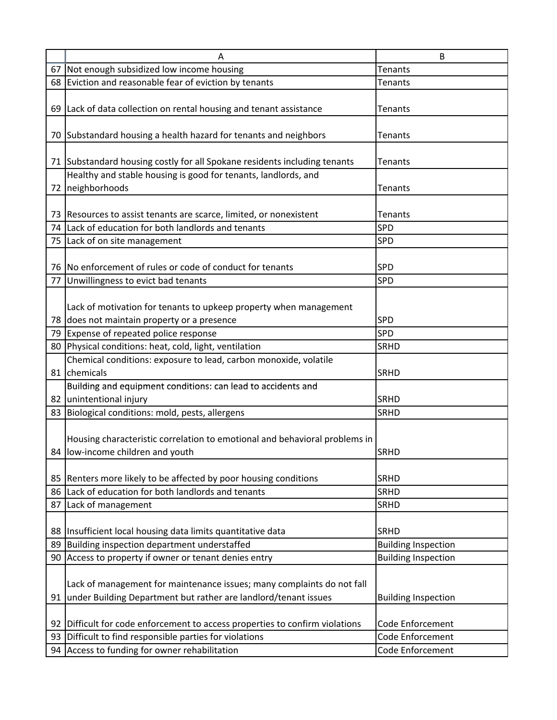|    | A                                                                            | B                          |
|----|------------------------------------------------------------------------------|----------------------------|
|    | 67 Not enough subsidized low income housing                                  | <b>Tenants</b>             |
|    | 68 Eviction and reasonable fear of eviction by tenants                       | Tenants                    |
|    |                                                                              |                            |
|    | 69 Lack of data collection on rental housing and tenant assistance           | <b>Tenants</b>             |
|    |                                                                              |                            |
|    | 70 Substandard housing a health hazard for tenants and neighbors             | Tenants                    |
|    | 71 Substandard housing costly for all Spokane residents including tenants    | <b>Tenants</b>             |
|    | Healthy and stable housing is good for tenants, landlords, and               |                            |
|    | 72 neighborhoods                                                             | Tenants                    |
|    |                                                                              |                            |
|    | 73 Resources to assist tenants are scarce, limited, or nonexistent           | <b>Tenants</b>             |
|    | 74 Lack of education for both landlords and tenants                          | SPD                        |
|    | 75 Lack of on site management                                                | <b>SPD</b>                 |
|    | 76 No enforcement of rules or code of conduct for tenants                    |                            |
|    | 77 Unwillingness to evict bad tenants                                        | <b>SPD</b><br>SPD          |
|    |                                                                              |                            |
|    | Lack of motivation for tenants to upkeep property when management            |                            |
|    | 78 does not maintain property or a presence                                  | <b>SPD</b>                 |
|    | 79 Expense of repeated police response                                       | <b>SPD</b>                 |
|    | 80 Physical conditions: heat, cold, light, ventilation                       | <b>SRHD</b>                |
|    | Chemical conditions: exposure to lead, carbon monoxide, volatile             |                            |
|    | 81 chemicals                                                                 | <b>SRHD</b>                |
|    | Building and equipment conditions: can lead to accidents and                 |                            |
|    | 82 unintentional injury                                                      | <b>SRHD</b>                |
|    | 83 Biological conditions: mold, pests, allergens                             | <b>SRHD</b>                |
|    |                                                                              |                            |
|    | Housing characteristic correlation to emotional and behavioral problems in   |                            |
|    | 84 low-income children and youth                                             | <b>SRHD</b>                |
|    |                                                                              |                            |
|    | 85   Renters more likely to be affected by poor housing conditions           | <b>SRHD</b>                |
|    | 86 Lack of education for both landlords and tenants                          | <b>SRHD</b>                |
|    | 87 Lack of management                                                        | <b>SRHD</b>                |
|    |                                                                              |                            |
|    | 88   Insufficient local housing data limits quantitative data                | <b>SRHD</b>                |
|    | 89 Building inspection department understaffed                               | <b>Building Inspection</b> |
|    | 90 Access to property if owner or tenant denies entry                        | <b>Building Inspection</b> |
|    |                                                                              |                            |
|    | Lack of management for maintenance issues; many complaints do not fall       |                            |
|    | 91 under Building Department but rather are landlord/tenant issues           | <b>Building Inspection</b> |
|    |                                                                              |                            |
|    | 92 Difficult for code enforcement to access properties to confirm violations | Code Enforcement           |
| 93 | Difficult to find responsible parties for violations                         | Code Enforcement           |
| 94 | Access to funding for owner rehabilitation                                   | Code Enforcement           |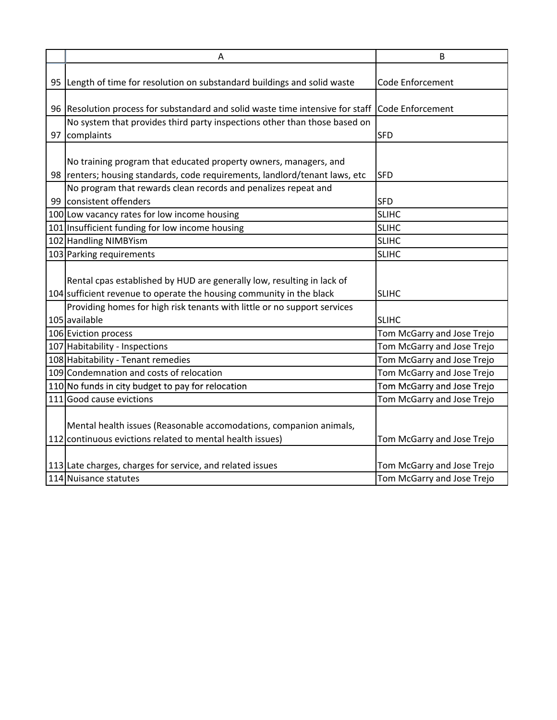| Α                                                                              | B                          |
|--------------------------------------------------------------------------------|----------------------------|
|                                                                                |                            |
| 95 Length of time for resolution on substandard buildings and solid waste      | <b>Code Enforcement</b>    |
| 96 Resolution process for substandard and solid waste time intensive for staff | Code Enforcement           |
| No system that provides third party inspections other than those based on      |                            |
| 97 complaints                                                                  | <b>SFD</b>                 |
|                                                                                |                            |
| No training program that educated property owners, managers, and               |                            |
| 98   renters; housing standards, code requirements, landlord/tenant laws, etc  | <b>SFD</b>                 |
| No program that rewards clean records and penalizes repeat and                 |                            |
| 99 consistent offenders                                                        | <b>SFD</b>                 |
| 100 Low vacancy rates for low income housing                                   | <b>SLIHC</b>               |
| 101 Insufficient funding for low income housing                                | <b>SLIHC</b>               |
| 102 Handling NIMBYism                                                          | <b>SLIHC</b>               |
| 103 Parking requirements                                                       | <b>SLIHC</b>               |
|                                                                                |                            |
| Rental cpas established by HUD are generally low, resulting in lack of         |                            |
| 104 sufficient revenue to operate the housing community in the black           | <b>SLIHC</b>               |
| Providing homes for high risk tenants with little or no support services       |                            |
| 105 available                                                                  | <b>SLIHC</b>               |
| 106 Eviction process                                                           | Tom McGarry and Jose Trejo |
| 107 Habitability - Inspections                                                 | Tom McGarry and Jose Trejo |
| 108 Habitability - Tenant remedies                                             | Tom McGarry and Jose Trejo |
| 109 Condemnation and costs of relocation                                       | Tom McGarry and Jose Trejo |
| 110 No funds in city budget to pay for relocation                              | Tom McGarry and Jose Trejo |
| 111 Good cause evictions                                                       | Tom McGarry and Jose Trejo |
|                                                                                |                            |
| Mental health issues (Reasonable accomodations, companion animals,             |                            |
| 112 continuous evictions related to mental health issues)                      | Tom McGarry and Jose Trejo |
|                                                                                |                            |
| 113 Late charges, charges for service, and related issues                      | Tom McGarry and Jose Trejo |
| 114 Nuisance statutes                                                          | Tom McGarry and Jose Trejo |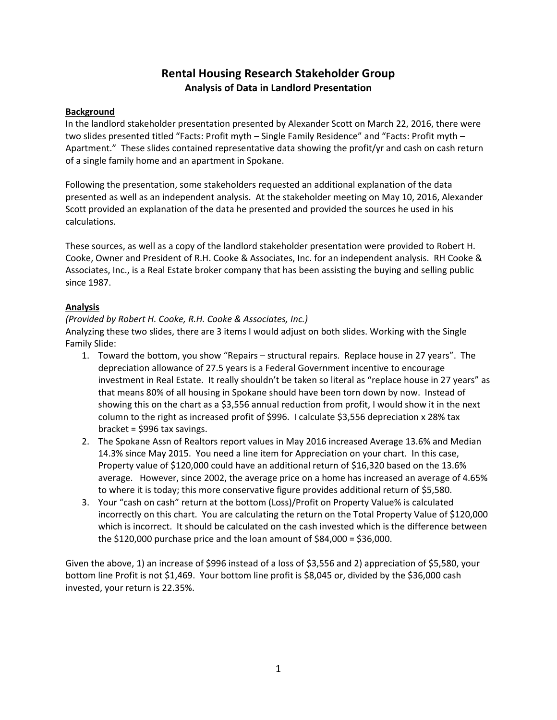#### **Rental Housing Research Stakeholder Group Analysis of Data in Landlord Presentation**

#### **Background**

In the landlord stakeholder presentation presented by Alexander Scott on March 22, 2016, there were two slides presented titled "Facts: Profit myth – Single Family Residence" and "Facts: Profit myth – Apartment." These slides contained representative data showing the profit/yr and cash on cash return of a single family home and an apartment in Spokane.

Following the presentation, some stakeholders requested an additional explanation of the data presented as well as an independent analysis. At the stakeholder meeting on May 10, 2016, Alexander Scott provided an explanation of the data he presented and provided the sources he used in his calculations.

These sources, as well as a copy of the landlord stakeholder presentation were provided to Robert H. Cooke, Owner and President of R.H. Cooke & Associates, Inc. for an independent analysis. RH Cooke & Associates, Inc., is a Real Estate broker company that has been assisting the buying and selling public since 1987.

#### **Analysis**

#### *(Provided by Robert H. Cooke, R.H. Cooke & Associates, Inc.)*

Analyzing these two slides, there are 3 items I would adjust on both slides. Working with the Single Family Slide:

- 1. Toward the bottom, you show "Repairs structural repairs. Replace house in 27 years". The depreciation allowance of 27.5 years is a Federal Government incentive to encourage investment in Real Estate. It really shouldn't be taken so literal as "replace house in 27 years" as that means 80% of all housing in Spokane should have been torn down by now. Instead of showing this on the chart as a \$3,556 annual reduction from profit, I would show it in the next column to the right as increased profit of \$996. I calculate \$3,556 depreciation x 28% tax bracket = \$996 tax savings.
- 2. The Spokane Assn of Realtors report values in May 2016 increased Average 13.6% and Median 14.3% since May 2015. You need a line item for Appreciation on your chart. In this case, Property value of \$120,000 could have an additional return of \$16,320 based on the 13.6% average. However, since 2002, the average price on a home has increased an average of 4.65% to where it is today; this more conservative figure provides additional return of \$5,580.
- 3. Your "cash on cash" return at the bottom (Loss)/Profit on Property Value% is calculated incorrectly on this chart. You are calculating the return on the Total Property Value of \$120,000 which is incorrect. It should be calculated on the cash invested which is the difference between the \$120,000 purchase price and the loan amount of \$84,000 = \$36,000.

Given the above, 1) an increase of \$996 instead of a loss of \$3,556 and 2) appreciation of \$5,580, your bottom line Profit is not \$1,469. Your bottom line profit is \$8,045 or, divided by the \$36,000 cash invested, your return is 22.35%.